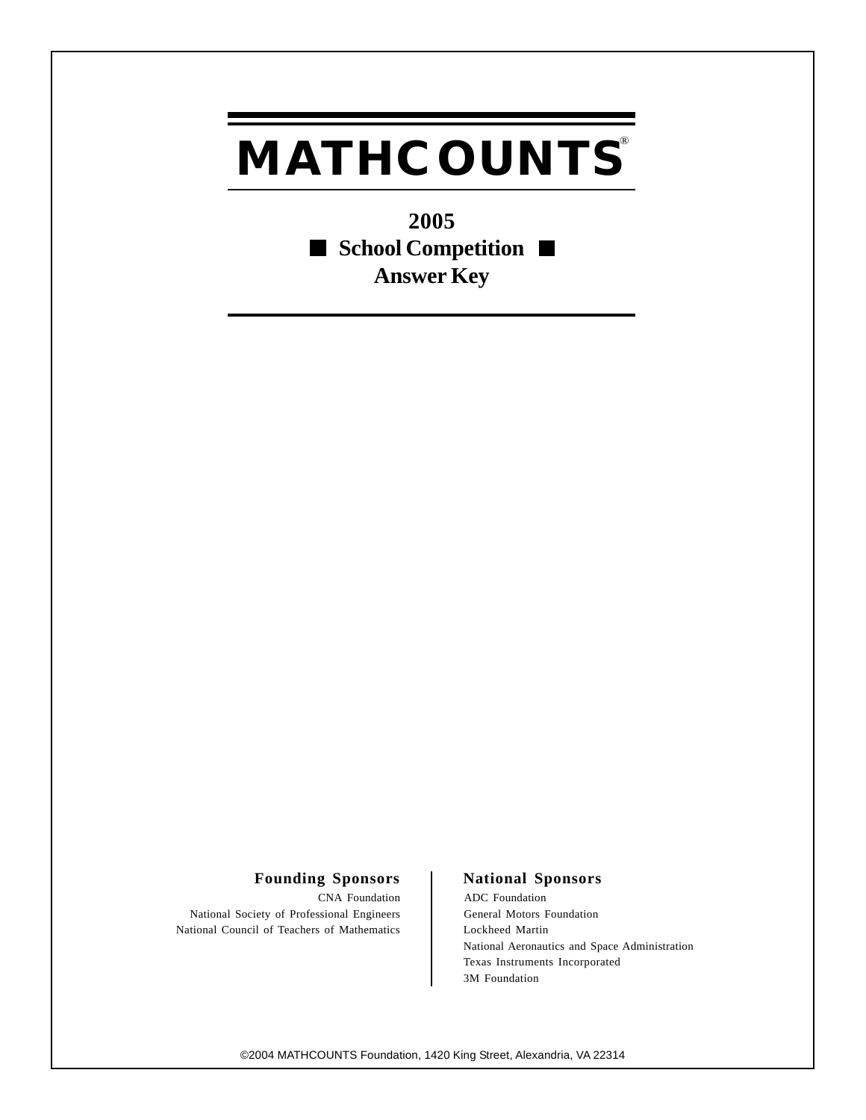## **MATHCOUNTS®**

**2005** ■ School Competition ■ **Answer Key**

## Founding Sponsors | National Sponsors

CNA Foundation ADC Foundation National Society of Professional Engineers General Motors Foundation National Council of Teachers of Mathematics <br>Lockheed Martin

National Aeronautics and Space Administration Texas Instruments Incorporated 3M Foundation

©2004 MATHCOUNTS Foundation, 1420 King Street, Alexandria, VA 22314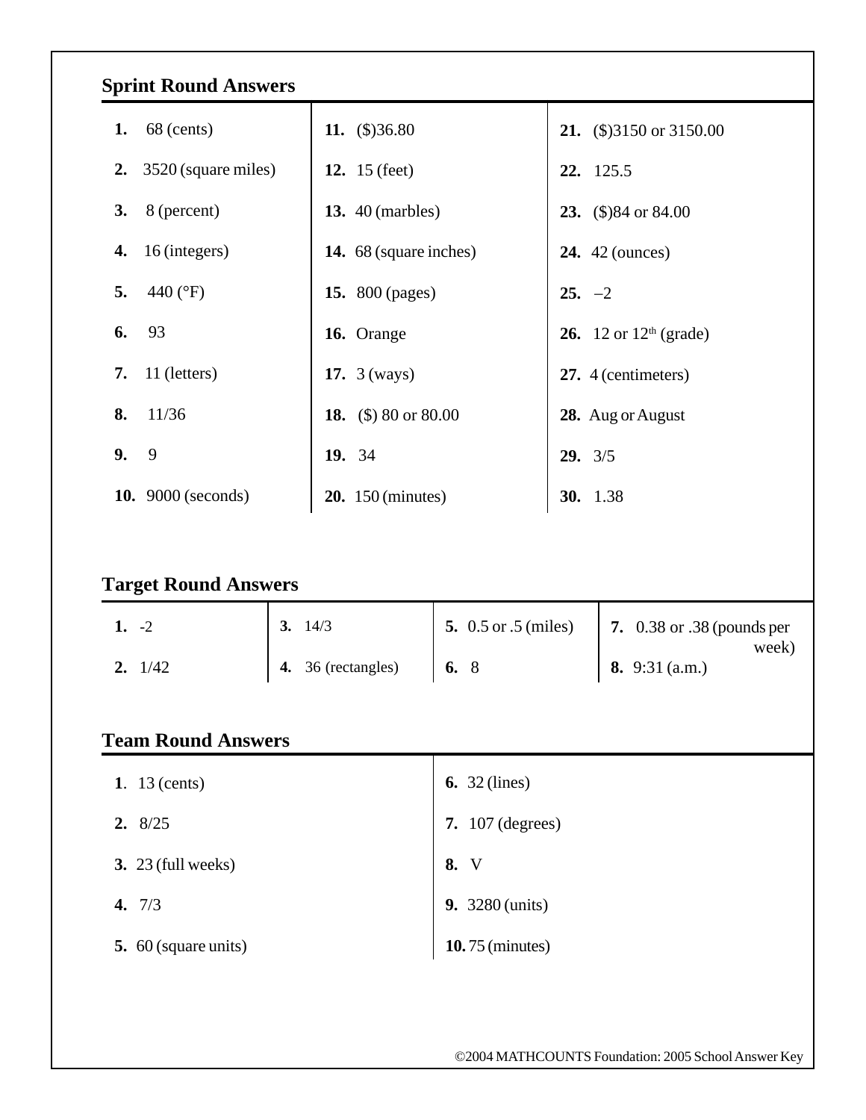| <b>Sprint Round Answers</b>            |                            |                                                           |                                    |  |  |  |  |  |  |
|----------------------------------------|----------------------------|-----------------------------------------------------------|------------------------------------|--|--|--|--|--|--|
| 1.<br>68 (cents)                       | 11. $(\$)36.80$            |                                                           | <b>21.</b> (\$)3150 or 3150.00     |  |  |  |  |  |  |
| 3520 (square miles)<br>2.              | <b>12.</b> 15 (feet)       |                                                           | 22. 125.5                          |  |  |  |  |  |  |
| 8 (percent)<br>3.                      | <b>13.</b> 40 (marbles)    |                                                           | 23. $(\$)84$ or 84.00              |  |  |  |  |  |  |
| 16 (integers)<br>4.                    | 14. 68 (square inches)     |                                                           | <b>24.</b> 42 (ounces)             |  |  |  |  |  |  |
| 5.<br>440 (°F)                         | <b>15.</b> 800 (pages)     |                                                           | $25. -2$                           |  |  |  |  |  |  |
| 93<br>6.                               | 16. Orange                 |                                                           | <b>26.</b> 12 or $12^{th}$ (grade) |  |  |  |  |  |  |
| 11 (letters)<br>7.                     | 17. $3 (ways)$             |                                                           | 27. 4 (centimeters)                |  |  |  |  |  |  |
| 11/36<br>8.                            | 18. $$\times$$ 80 or 80.00 |                                                           | 28. Aug or August                  |  |  |  |  |  |  |
| 9.<br>9                                | 19. 34                     |                                                           | 29.3/5                             |  |  |  |  |  |  |
| <b>10.</b> 9000 (seconds)              | <b>20.</b> 150 (minutes)   |                                                           | <b>30.</b> 1.38                    |  |  |  |  |  |  |
| <b>Target Round Answers</b><br>$1. -2$ | 3.14/3                     | <b>5.</b> 0.5 or .5 (miles)<br>7. 0.38 or .38 (pounds per |                                    |  |  |  |  |  |  |
| 2. $1/42$                              | 36 (rectangles)<br>4.      | 6. $8$                                                    | week)<br>8. $9:31$ (a.m.)          |  |  |  |  |  |  |
| <b>Team Round Answers</b>              |                            |                                                           |                                    |  |  |  |  |  |  |
| 1. $13$ (cents)                        |                            | 6. $32$ (lines)                                           |                                    |  |  |  |  |  |  |
| 2.8/25                                 |                            | <b>7.</b> 107 (degrees)                                   |                                    |  |  |  |  |  |  |
| <b>3.</b> 23 (full weeks)              |                            | 8. V                                                      |                                    |  |  |  |  |  |  |
| 4. $7/3$                               |                            | <b>9.</b> 3280 (units)                                    |                                    |  |  |  |  |  |  |
| 5. 60 (square units)                   |                            | <b>10.</b> 75 (minutes)                                   |                                    |  |  |  |  |  |  |
|                                        |                            |                                                           |                                    |  |  |  |  |  |  |